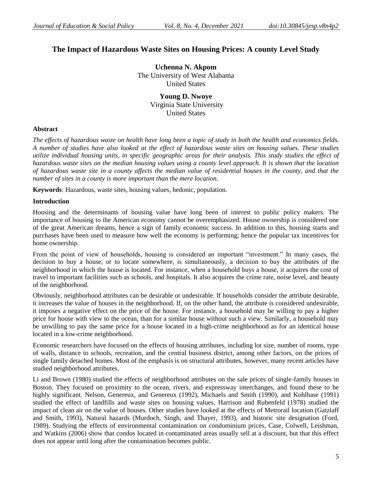# **The Impact of Hazardous Waste Sites on Housing Prices: A county Level Study**

**Uchenna N. Akpom** The University of West Alabama United States

> **Young D. Nwoye** Virginia State University United States

# **Abstract**

*The effects of hazardous waste on health have long been a topic of study in both the health and economics fields. A number of studies have also looked at the effect of hazardous waste sites on housing values. These studies utilize individual housing units, in specific geographic areas for their analysis. This study studies the effect of hazardous waste sites on the median housing values using a county level approach. It is shown that the location of hazardous waste site in a county affects the median value of residential houses in the county, and that the number of sites in a county is more important than the mere location.* 

**Keywords**: Hazardous, waste sites, housing values, hedonic, population.

# **Introduction**

Housing and the determinants of housing value have long been of interest to public policy makers. The importance of housing to the American economy cannot be overemphasized. House ownership is considered one of the great American dreams, hence a sign of family economic success. In addition to this, housing starts and purchases have been used to measure how well the economy is performing; hence the popular tax incentives for home ownership.

From the point of view of households, housing is considered an important "investment." In many cases, the decision to buy a house, or to locate somewhere, is simultaneously, a decision to buy the attributes of the neighborhood in which the house is located. For instance, when a household buys a house, it acquires the cost of travel to important facilities such as schools, and hospitals. It also acquires the crime rate, noise level, and beauty of the neighborhood.

Obviously, neighborhood attributes can be desirable or undesirable. If households consider the attribute desirable, it increases the value of houses in the neighborhood. If, on the other hand, the attribute is considered undesirable, it imposes a negative effect on the price of the house. For instance, a household may be willing to pay a higher price for house with view to the ocean, than for a similar house without such a view. Similarly, a household may be unwilling to pay the same price for a house located in a high-crime neighborhood as for an identical house located in a low-crime neighborhood.

Economic researchers have focused on the effects of housing attributes, including lot size, number of rooms, type of walls, distance to schools, recreation, and the central business district, among other factors, on the prices of single family detached homes. Most of the emphasis is on structural attributes, however, many recent articles have studied neighborhood attributes.

Li and Brown (1980) studied the effects of neighborhood attributes on the sale prices of single-family houses in Boston. They focused on proximity to the ocean, rivers, and expressway interchanges, and found these to be highly significant. Nelson, Genereux, and Genereux (1992), Michaels and Smith (1990), and Kohlhase (1991) studied the effect of landfills and waste sites on housing values. Harrison and Rubenfeld (1978) studied the impact of clean air on the value of houses. Other studies have looked at the effects of Metrorail location (Gatzlaff and Smith, 1993), Natural hazards (Murdoch, Singh, and Thayer, 1993), and historic site designation (Ford, 1989). Studying the effects of environmental contamination on condominium prices, Case, Colwell, Leishman, and Watkins (2006) show that condos located in contaminated areas usually sell at a discount, but that this effect does not appear until long after the contamination becomes public.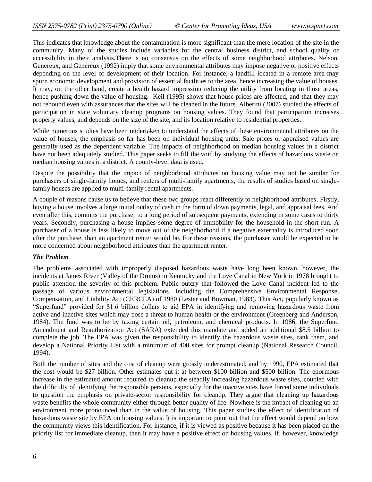This indicates that knowledge about the contamination is more significant than the mere location of the site in the community. Many of the studies include variables for the central business district, and school quality or accessibility in their analysis.There is no consensus on the effects of some neighborhood attributes. Nelson, Genereux, and Genereux (1992) imply that some environmental attributes may impose negative or positive effects depending on the level of development of their location. For instance, a landfill located in a remote area may spurn economic development and provision of essential facilities to the area, hence increasing the value of houses. It may, on the other hand, create a health hazard impression reducing the utility from locating in those areas, hence pushing down the value of housing. Keil (1995) shows that house prices are affected, and that they may not rebound even with assurances that the sites will be cleaned in the future. Alberini (2007) studied the effects of participation in state voluntary cleanup programs on housing values. They found that participation increases property values, and depends on the size of the site, and its location relative to residential properties.

While numerous studies have been undertaken to understand the effects of these environmental attributes on the value of houses, the emphasis so far has been on individual housing units. Sale prices or appraised values are generally used as the dependent variable. The impacts of neighborhood on median housing values in a district have not been adequately studied. This paper seeks to fill the void by studying the effects of hazardous waste on median housing values in a district. A county-level data is used.

Despite the possibility that the impact of neighborhood attributes on housing value may not be similar for purchasers of single-family homes, and renters of multi-family apartments, the results of studies based on singlefamily houses are applied to multi-family rental apartments.

A couple of reasons cause us to believe that these two groups react differently to neighborhood attributes. Firstly, buying a house involves a large initial outlay of cash in the form of down payments, legal, and appraisal fees. And even after this, commits the purchaser to a long period of subsequent payments, extending in some cases to thirty years. Secondly, purchasing a house implies some degree of immobility for the household in the short-run. A purchaser of a house is less likely to move out of the neighborhood if a negative externality is introduced soon after the purchase, than an apartment renter would be. For these reasons, the purchaser would be expected to be more concerned about neighborhood attributes than the apartment renter.

#### *The Problem*

The problems associated with improperly disposed hazardous waste have long been known, however, the incidents at James River (Valley of the Drums) in Kentucky and the Love Canal in New York in 1978 brought to public attention the severity of this problem. Public outcry that followed the Love Canal incident led to the passage of various environmental legislations, including the Comprehensive Environmental Response, Compensation, and Liability Act (CERCLA) of 1980 (Lester and Bowman, 1983). This Act, popularly known as "Superfund" provided for \$1.6 billion dollars to aid EPA in identifying and removing hazardous waste from active and inactive sites which may pose a threat to human health or the environment (Greenberg and Anderson, 1984). The fund was to be by taxing certain oil, petroleum, and chemical products. In 1986, the Superfund Amendment and Reauthorization Act (SARA) extended this mandate and added an additional \$8.5 billion to complete the job. The EPA was given the responsibility to identify the hazardous waste sites, rank them, and develop a National Priority List with a minimum of 400 sites for prompt cleanup (National Research Council, 1994).

Both the number of sites and the cost of cleanup were grossly underestimated, and by 1990, EPA estimated that the cost would be \$27 billion. Other estimates put it at between \$100 billion and \$500 billion. The enormous increase in the estimated amount required to cleanup the steadily increasing hazardous waste sites, coupled with the difficulty of identifying the responsible persons, especially for the inactive sites have forced some individuals to question the emphasis on private-sector responsibility for cleanup. They argue that cleaning up hazardous waste benefits the whole community either through better quality of life. Nowhere is the impact of cleaning up an environment more pronounced than in the value of housing. This paper studies the effect of identification of hazardous waste site by EPA on housing values. It is important to point out that the effect would depend on how the community views this identification. For instance, if it is viewed as positive because it has been placed on the priority list for immediate cleanup, then it may have a positive effect on housing values. If, however, knowledge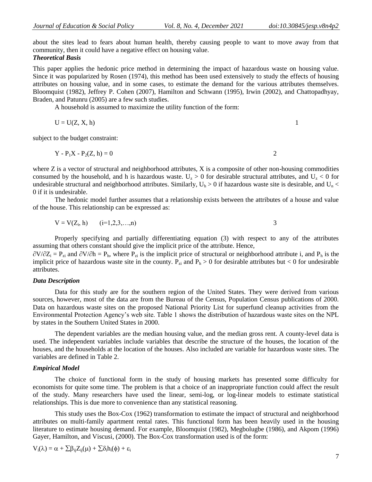about the sites lead to fears about human health, thereby causing people to want to move away from that community, then it could have a negative effect on housing value.

### *Theoretical Basis*

This paper applies the hedonic price method in determining the impact of hazardous waste on housing value. Since it was popularized by Rosen (1974), this method has been used extensively to study the effects of housing attributes on housing value, and in some cases, to estimate the demand for the various attributes themselves. Bloomquist (1982), Jeffrey P. Cohen (2007), Hamilton and Schwann (1995), Irwin (2002), and Chattopadhyay, Braden, and Patunru (2005) are a few such studies.

A household is assumed to maximize the utility function of the form:

$$
U = U(Z, X, h) \tag{1}
$$

subject to the budget constraint:

$$
Y - P_1 X - P_2 (Z, h) = 0
$$

where  $Z$  is a vector of structural and neighborhood attributes,  $X$  is a composite of other non-housing commodities consumed by the household, and h is hazardous waste.  $U_z > 0$  for desirable structural attributes, and  $U_z < 0$  for undesirable structural and neighborhood attributes. Similarly,  $U_h > 0$  if hazardous waste site is desirable, and  $U_n <$ 0 if it is undesirable.

The hedonic model further assumes that a relationship exists between the attributes of a house and value of the house. This relationship can be expressed as:

$$
V = V(Z_i, h) \qquad (i=1,2,3,...,n)
$$

Properly specifying and partially differentiating equation (3) with respect to any of the attributes assuming that others constant should give the implicit price of the attribute. Hence,

 $\partial V/\partial Z_i = P_{zi}$  and  $\partial V/\partial h = P_h$ , where  $P_{zi}$  is the implicit price of structural or neighborhood attribute i, and  $P_h$  is the implicit price of hazardous waste site in the county.  $P_{zi}$  and  $P_h > 0$  for desirable attributes but < 0 for undesirable attributes.

#### *Data Description*

Data for this study are for the southern region of the United States. They were derived from various sources, however, most of the data are from the Bureau of the Census, Population Census publications of 2000. Data on hazardous waste sites on the proposed National Priority List for superfund cleanup activities from the Environmental Protection Agency's web site. Table 1 shows the distribution of hazardous waste sites on the NPL by states in the Southern United States in 2000.

The dependent variables are the median housing value, and the median gross rent. A county-level data is used. The independent variables include variables that describe the structure of the houses, the location of the houses, and the households at the location of the houses. Also included are variable for hazardous waste sites. The variables are defined in Table 2.

#### *Empirical Model*

The choice of functional form in the study of housing markets has presented some difficulty for economists for quite some time. The problem is that a choice of an inappropriate function could affect the result of the study. Many researchers have used the linear, semi-log, or log-linear models to estimate statistical relationships. This is due more to convenience than any statistical reasoning.

This study uses the Box-Cox (1962) transformation to estimate the impact of structural and neighborhood attributes on multi-family apartment rental rates. This functional form has been heavily used in the housing literature to estimate housing demand. For example, Bloomquist (1982), Megbolugbe (1986), and Akpom (1996) Gayer, Hamilton, and Viscusi, (2000). The Box-Cox transformation used is of the form:

$$
V_i(\lambda) = \alpha + \sum \beta_{ij} Z_{ij}(\mu) + \sum \delta_i h_i(\varphi) + \epsilon_i
$$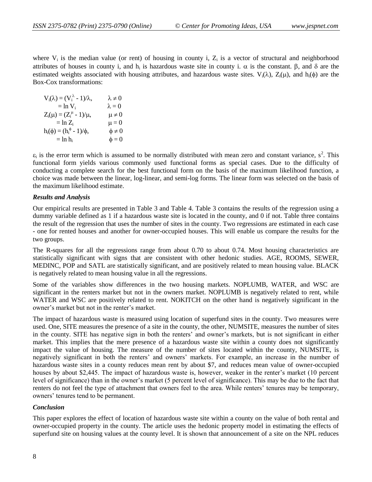where  $V_i$  is the median value (or rent) of housing in county i,  $Z_i$  is a vector of structural and neighborhood attributes of houses in county i, and  $h_i$  is hazardous waste site in county i.  $\alpha$  is the constant.  $\beta$ , and  $\delta$  are the estimated weights associated with housing attributes, and hazardous waste sites.  $V_i(\lambda)$ ,  $Z_i(\mu)$ , and h<sub>i</sub>( $\phi$ ) are the Box-Cox transformations:

$$
V_i(\lambda) = (V_i^{\lambda} - 1)/\lambda, \qquad \lambda \neq 0
$$
  
\n
$$
= \ln V_i \qquad \lambda = 0
$$
  
\n
$$
Z_i(\mu) = (Z_i^{\mu} - 1)/\mu, \qquad \mu \neq 0
$$
  
\n
$$
= \ln Z_i \qquad \mu = 0
$$
  
\n
$$
h_i(\phi) = (h_i^{\phi} - 1)/\phi, \qquad \phi \neq 0
$$
  
\n
$$
= \ln h_i \qquad \phi = 0
$$

 $\varepsilon_i$  is the error term which is assumed to be normally distributed with mean zero and constant variance,  $s^2$ . This functional form yields various commonly used functional forms as special cases. Due to the difficulty of conducting a complete search for the best functional form on the basis of the maximum likelihood function, a choice was made between the linear, log-linear, and semi-log forms. The linear form was selected on the basis of the maximum likelihood estimate.

### *Results and Analysis*

Our empirical results are presented in Table 3 and Table 4. Table 3 contains the results of the regression using a dummy variable defined as 1 if a hazardous waste site is located in the county, and 0 if not. Table three contains the result of the regression that uses the number of sites in the county. Two regressions are estimated in each case - one for rented houses and another for owner-occupied houses. This will enable us compare the results for the two groups.

The R-squares for all the regressions range from about 0.70 to about 0.74. Most housing characteristics are statistically significant with signs that are consistent with other hedonic studies. AGE, ROOMS, SEWER, MEDINC, POP and SATL are statistically significant, and are positively related to mean housing value. BLACK is negatively related to mean housing value in all the regressions.

Some of the variables show differences in the two housing markets. NOPLUMB, WATER, and WSC are significant in the renters market but not in the owners market. NOPLUMB is negatively related to rent, while WATER and WSC are positively related to rent. NOKITCH on the other hand is negatively significant in the owner's market but not in the renter's market.

The impact of hazardous waste is measured using location of superfund sites in the county. Two measures were used. One, SITE measures the presence of a site in the county, the other, NUMSITE, measures the number of sites in the county. SITE has negative sign in both the renters' and owner's markets, but is not significant in either market. This implies that the mere presence of a hazardous waste site within a county does not significantly impact the value of housing. The measure of the number of sites located within the county, NUMSITE, is negatively significant in both the renters' and owners' markets. For example, an increase in the number of hazardous waste sites in a county reduces mean rent by about \$7, and reduces mean value of owner-occupied houses by about \$2,445. The impact of hazardous waste is, however, weaker in the renter's market (10 percent level of significance) than in the owner's market (5 percent level of significance). This may be due to the fact that renters do not feel the type of attachment that owners feel to the area. While renters' tenures may be temporary, owners' tenures tend to be permanent.

## *Conclusion*

This paper explores the effect of location of hazardous waste site within a county on the value of both rental and owner-occupied property in the county. The article uses the hedonic property model in estimating the effects of superfund site on housing values at the county level. It is shown that announcement of a site on the NPL reduces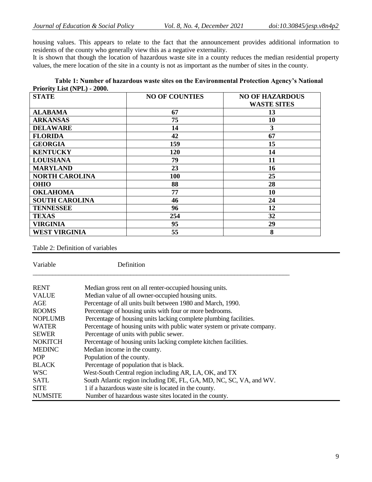housing values. This appears to relate to the fact that the announcement provides additional information to residents of the county who generally view this as a negative externality.

It is shown that though the location of hazardous waste site in a county reduces the median residential property values, the mere location of the site in a county is not as important as the number of sites in the county.

|                             | Table 1: Number of hazardous waste sites on the Environmental Protection Agency's National |  |
|-----------------------------|--------------------------------------------------------------------------------------------|--|
| Priority List (NPL) - 2000. |                                                                                            |  |

| <b>STATE</b>          | <b>NO OF COUNTIES</b> | <b>NO OF HAZARDOUS</b><br><b>WASTE SITES</b> |
|-----------------------|-----------------------|----------------------------------------------|
| <b>ALABAMA</b>        | 67                    | 13                                           |
| <b>ARKANSAS</b>       | 75                    | 10                                           |
| <b>DELAWARE</b>       | 14                    | 3                                            |
| <b>FLORIDA</b>        | 42                    | 67                                           |
| <b>GEORGIA</b>        | 159                   | 15                                           |
| <b>KENTUCKY</b>       | 120                   | 14                                           |
| <b>LOUISIANA</b>      | 79                    | 11                                           |
| <b>MARYLAND</b>       | 23                    | 16                                           |
| <b>NORTH CAROLINA</b> | 100                   | 25                                           |
| <b>OHIO</b>           | 88                    | 28                                           |
| <b>OKLAHOMA</b>       | 77                    | 10                                           |
| <b>SOUTH CAROLINA</b> | 46                    | 24                                           |
| <b>TENNESSEE</b>      | 96                    | 12                                           |
| <b>TEXAS</b>          | 254                   | 32                                           |
| <b>VIRGINIA</b>       | 95                    | 29                                           |
| <b>WEST VIRGINIA</b>  | 55                    | 8                                            |

Table 2: Definition of variables

| Variable       | Definition                                                               |  |  |
|----------------|--------------------------------------------------------------------------|--|--|
| <b>RENT</b>    | Median gross rent on all renter-occupied housing units.                  |  |  |
| <b>VALUE</b>   | Median value of all owner-occupied housing units.                        |  |  |
| AGE            | Percentage of all units built between 1980 and March, 1990.              |  |  |
| <b>ROOMS</b>   | Percentage of housing units with four or more bedrooms.                  |  |  |
| <b>NOPLUMB</b> | Percentage of housing units lacking complete plumbing facilities.        |  |  |
| <b>WATER</b>   | Percentage of housing units with public water system or private company. |  |  |
| <b>SEWER</b>   | Percentage of units with public sewer.                                   |  |  |
| <b>NOKITCH</b> | Percentage of housing units lacking complete kitchen facilities.         |  |  |
| <b>MEDINC</b>  | Median income in the county.                                             |  |  |
| POP            | Population of the county.                                                |  |  |
| <b>BLACK</b>   | Percentage of population that is black.                                  |  |  |
| <b>WSC</b>     | West-South Central region including AR, LA, OK, and TX                   |  |  |
| <b>SATL</b>    | South Atlantic region including DE, FL, GA, MD, NC, SC, VA, and WV.      |  |  |
| <b>SITE</b>    | 1 if a hazardous waste site is located in the county.                    |  |  |
| <b>NUMSITE</b> | Number of hazardous waste sites located in the county.                   |  |  |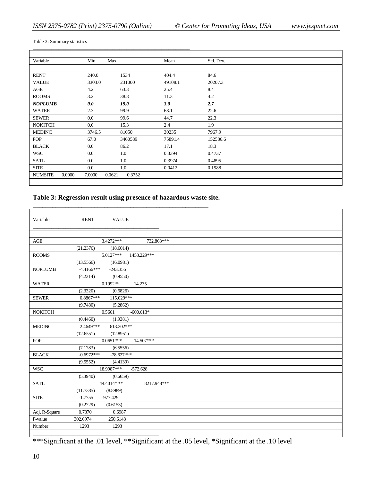\_\_\_\_\_\_\_\_\_\_\_\_\_\_\_\_\_\_\_\_\_\_\_\_\_\_\_\_\_\_\_\_\_\_\_\_\_\_\_\_\_\_\_\_\_\_\_\_\_\_\_\_\_\_\_\_\_\_\_\_\_\_\_\_\_\_\_

Table 3: Summary statistics

| Variable                 | Min     | Max              | Mean    | Std. Dev. |  |
|--------------------------|---------|------------------|---------|-----------|--|
|                          |         |                  |         |           |  |
| <b>RENT</b>              | 240.0   | 1534             | 404.4   | 84.6      |  |
| <b>VALUE</b>             | 3303.0  | 231000           | 49108.1 | 20207.3   |  |
| AGE                      | 4.2     | 63.3             | 25.4    | 8.4       |  |
| <b>ROOMS</b>             | 3.2     | 38.8             | 11.3    | 4.2       |  |
| <b>NOPLUMB</b>           | 0.0     | 19.0             | 3.0     | 2.7       |  |
| <b>WATER</b>             | 2.3     | 99.9             | 68.1    | 22.6      |  |
| <b>SEWER</b>             | $0.0\,$ | 99.6             | 44.7    | 22.3      |  |
| <b>NOKITCH</b>           | $0.0\,$ | 15.3             | 2.4     | 1.9       |  |
| <b>MEDINC</b>            | 3746.5  | 81050            | 30235   | 7967.9    |  |
| <b>POP</b>               | 67.0    | 3460589          | 75891.4 | 152586.6  |  |
| <b>BLACK</b>             | $0.0\,$ | 86.2             | 17.1    | 18.3      |  |
| <b>WSC</b>               | $0.0\,$ | 1.0              | 0.3394  | 0.4737    |  |
| <b>SATL</b>              | $0.0\,$ | 1.0              | 0.3974  | 0.4895    |  |
| <b>SITE</b>              | 0.0     | 1.0              | 0.0412  | 0.1988    |  |
| 0.0000<br><b>NUMSITE</b> | 7.0000  | 0.3752<br>0.0621 |         |           |  |

# **Table 3: Regression result using presence of hazardous waste site.**

\_\_\_\_\_\_\_\_\_\_\_\_\_\_\_\_\_\_\_\_\_\_\_\_\_\_\_\_\_\_\_\_\_\_\_\_\_\_\_\_\_\_\_\_\_\_\_\_\_\_\_\_\_\_

| Variable       | <b>RENT</b><br><b>VALUE</b>  |  |
|----------------|------------------------------|--|
|                |                              |  |
|                |                              |  |
| $\mathbf{AGE}$ | 3.4272***<br>732.863***      |  |
|                | (21.2376)<br>(18.6014)       |  |
| <b>ROOMS</b>   | 5.0127***<br>1453.229***     |  |
|                | (13.5566)<br>(16.0981)       |  |
| <b>NOPLUMB</b> | $-4.4166***$<br>$-243.356$   |  |
|                | (4.2314)<br>(0.9550)         |  |
| <b>WATER</b>   | $0.1992**$<br>14.235         |  |
|                | (2.3320)<br>(0.6826)         |  |
| <b>SEWER</b>   | $0.8867***$<br>115.029***    |  |
|                | (9.7480)<br>(5.2862)         |  |
| <b>NOKITCH</b> | 0.5661<br>$-600.613*$        |  |
|                | (0.4460)<br>(1.9381)         |  |
| <b>MEDINC</b>  | 613.202***<br>2.4649***      |  |
|                | (12.6551)<br>(12.8951)       |  |
| POP            | $0.0651***$<br>14.507***     |  |
|                | (7.1783)<br>(6.5556)         |  |
| <b>BLACK</b>   | $-0.6972***$<br>$-78.627***$ |  |
|                | (9.5552)<br>(4.4139)         |  |
| <b>WSC</b>     | 18.9987***<br>$-572.628$     |  |
|                | (5.3940)<br>(0.6659)         |  |
| <b>SATL</b>    | 44.4014***<br>8217.948***    |  |
|                | (11.7385)<br>(8.8989)        |  |
| <b>SITE</b>    | $-1.7755$<br>$-977.429$      |  |
|                | (0.2729)<br>(0.6153)         |  |
| Adj. R-Square  | 0.6987<br>0.7370             |  |
| F-value        | 302.6974<br>250.6148         |  |
| Number         | 1293<br>1293                 |  |
|                |                              |  |

\*\*\*Significant at the .01 level, \*\*Significant at the .05 level, \*Significant at the .10 level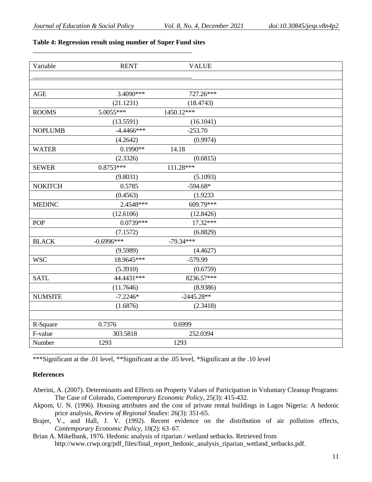# **Table 4: Regression result using number of Super Fund sites**

\_\_\_\_\_\_\_\_\_\_\_\_\_\_\_\_\_\_\_\_\_\_\_\_\_\_\_\_\_\_\_\_\_\_\_\_\_\_\_\_\_\_\_\_\_\_\_\_\_

| Variable       | <b>RENT</b>  | <b>VALUE</b> |  |
|----------------|--------------|--------------|--|
|                |              |              |  |
|                |              |              |  |
| AGE            | 3.4090***    | 727.26***    |  |
|                | (21.1231)    | (18.4743)    |  |
| <b>ROOMS</b>   | 5.0055***    | 1450.12***   |  |
|                | (13.5591)    | (16.1041)    |  |
| <b>NOPLUMB</b> | $-4.4466***$ | $-253.70$    |  |
|                | (4.2642)     | (0.9974)     |  |
| <b>WATER</b>   | $0.1990**$   | 14.18        |  |
|                | (2.3326)     | (0.6815)     |  |
| <b>SEWER</b>   | $0.8753***$  | 111.28***    |  |
|                | (9.8031)     | (5.1093)     |  |
| <b>NOKITCH</b> | 0.5785       | $-594.68*$   |  |
|                | (0.4563)     | (1.9233)     |  |
| <b>MEDINC</b>  | 2.4548***    | 609.79***    |  |
|                | (12.6106)    | (12.8426)    |  |
| POP            | $0.0739***$  | 17.32***     |  |
|                | (7.1572)     | (6.8829)     |  |
| <b>BLACK</b>   | $-0.6996***$ | $-79.34***$  |  |
|                | (9.5989)     | (4.4627)     |  |
| <b>WSC</b>     | 18.9645***   | $-579.99$    |  |
|                | (5.3910)     | (0.6759)     |  |
| <b>SATL</b>    | 44.4431***   | 8236.57***   |  |
|                | (11.7646)    | (8.9386)     |  |
| <b>NUMSITE</b> | $-7.2246*$   | $-2445.28**$ |  |
|                | (1.6876)     | (2.3418)     |  |
|                |              |              |  |
| R-Square       | 0.7376       | 0.6999       |  |
| F-value        | 303.5818     | 252.0394     |  |
| Number         | 1293         | 1293         |  |
|                |              |              |  |

\*\*\*Significant at the .01 level, \*\*Significant at the .05 level, \*Significant at the .10 level

# **References**

- Aberini, A. (2007). Determinants and Effects on Property Values of Participation in Voluntary Cleanup Programs: The Case of Colorado, *Contemporary Economic Policy*, 25(3): 415-432.
- Akpom, U. N. (1996). Housing attributes and the cost of private rental buildings in Lagos Nigeria: A hedonic price analysis, *Review of Regional Studies*: 26(3): 351-65.
- Brajer, V., and Hall, J. V. (1992). Recent evidence on the distribution of air pollution effects, *Contemporary Economic Policy*, 10(2): 63–67.
- Brian A. Mikelbank, 1976. Hedonic analysis of riparian / wetland setbacks. Retrieved from http://www.crwp.org/pdf\_files/final\_report\_hedonic\_analysis\_riparian\_wetland\_setbacks.pdf.